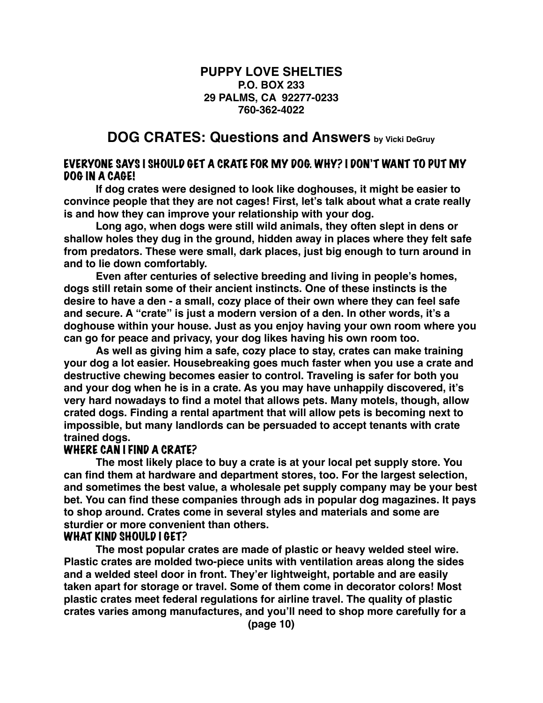#### **PUPPY LOVE SHELTIES P.O. BOX 233 29 PALMS, CA 92277-0233 760-362-4022**

## **DOG CRATES: Questions and Answers by Vicki DeGruy**

#### EVERYONE SAYS I SHOULD GET A CRATE FOR MY DOG. WHY? I DON'T WANT TO PUT MY DOG IN A CAGE!

**If dog crates were designed to look like doghouses, it might be easier to convince people that they are not cages! First, let's talk about what a crate really is and how they can improve your relationship with your dog.**

**Long ago, when dogs were still wild animals, they often slept in dens or shallow holes they dug in the ground, hidden away in places where they felt safe from predators. These were small, dark places, just big enough to turn around in and to lie down comfortably.**

**Even after centuries of selective breeding and living in people's homes, dogs still retain some of their ancient instincts. One of these instincts is the desire to have a den - a small, cozy place of their own where they can feel safe and secure. A "crate" is just a modern version of a den. In other words, it's a doghouse within your house. Just as you enjoy having your own room where you can go for peace and privacy, your dog likes having his own room too.**

**As well as giving him a safe, cozy place to stay, crates can make training your dog a lot easier. Housebreaking goes much faster when you use a crate and destructive chewing becomes easier to control. Traveling is safer for both you and your dog when he is in a crate. As you may have unhappily discovered, it's very hard nowadays to find a motel that allows pets. Many motels, though, allow crated dogs. Finding a rental apartment that will allow pets is becoming next to impossible, but many landlords can be persuaded to accept tenants with crate trained dogs.**

#### WHERE CAN I FIND A CRATE?

**The most likely place to buy a crate is at your local pet supply store. You can find them at hardware and department stores, too. For the largest selection, and sometimes the best value, a wholesale pet supply company may be your best bet. You can find these companies through ads in popular dog magazines. It pays to shop around. Crates come in several styles and materials and some are sturdier or more convenient than others.**

#### WHAT KIND SHOULD I GET?

**The most popular crates are made of plastic or heavy welded steel wire. Plastic crates are molded two-piece units with ventilation areas along the sides and a welded steel door in front. They'er lightweight, portable and are easily taken apart for storage or travel. Some of them come in decorator colors! Most plastic crates meet federal regulations for airline travel. The quality of plastic crates varies among manufactures, and you'll need to shop more carefully for a**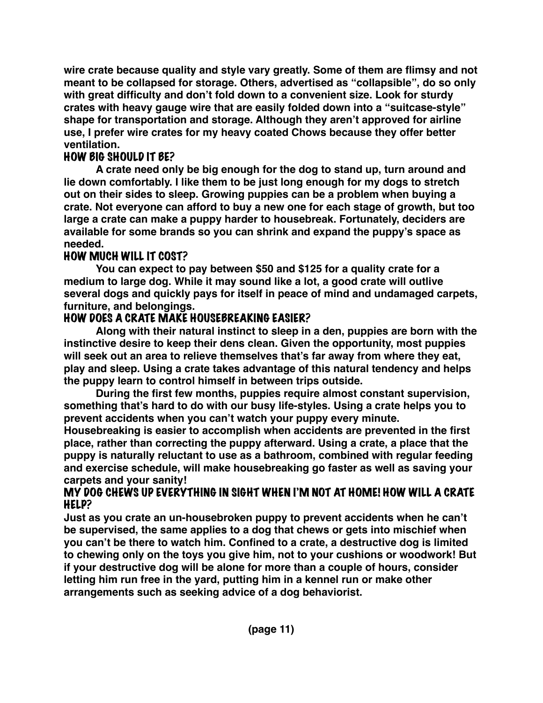**wire crate because quality and style vary greatly. Some of them are flimsy and not meant to be collapsed for storage. Others, advertised as "collapsible", do so only with great difficulty and don't fold down to a convenient size. Look for sturdy crates with heavy gauge wire that are easily folded down into a "suitcase-style" shape for transportation and storage. Although they aren't approved for airline use, I prefer wire crates for my heavy coated Chows because they offer better ventilation.**

# HOW BIG SHOULD IT BE?

**A crate need only be big enough for the dog to stand up, turn around and lie down comfortably. I like them to be just long enough for my dogs to stretch out on their sides to sleep. Growing puppies can be a problem when buying a crate. Not everyone can afford to buy a new one for each stage of growth, but too large a crate can make a puppy harder to housebreak. Fortunately, deciders are available for some brands so you can shrink and expand the puppy's space as needed.**

# HOW MUCH WILL IT COST?

**You can expect to pay between \$50 and \$125 for a quality crate for a medium to large dog. While it may sound like a lot, a good crate will outlive several dogs and quickly pays for itself in peace of mind and undamaged carpets, furniture, and belongings.**

# HOW DOES A CRATE MAKE HOUSEBREAKING EASIER?

**Along with their natural instinct to sleep in a den, puppies are born with the instinctive desire to keep their dens clean. Given the opportunity, most puppies will seek out an area to relieve themselves that's far away from where they eat, play and sleep. Using a crate takes advantage of this natural tendency and helps the puppy learn to control himself in between trips outside.**

**During the first few months, puppies require almost constant supervision, something that's hard to do with our busy life-styles. Using a crate helps you to prevent accidents when you can't watch your puppy every minute.** 

**Housebreaking is easier to accomplish when accidents are prevented in the first place, rather than correcting the puppy afterward. Using a crate, a place that the puppy is naturally reluctant to use as a bathroom, combined with regular feeding and exercise schedule, will make housebreaking go faster as well as saving your carpets and your sanity!**

## MY DOG CHEWS UP EVERYTHING IN SIGHT WHEN I'M NOT AT HOME! HOW WILL A CRATE HELP?

**Just as you crate an un-housebroken puppy to prevent accidents when he can't be supervised, the same applies to a dog that chews or gets into mischief when you can't be there to watch him. Confined to a crate, a destructive dog is limited to chewing only on the toys you give him, not to your cushions or woodwork! But if your destructive dog will be alone for more than a couple of hours, consider letting him run free in the yard, putting him in a kennel run or make other arrangements such as seeking advice of a dog behaviorist.**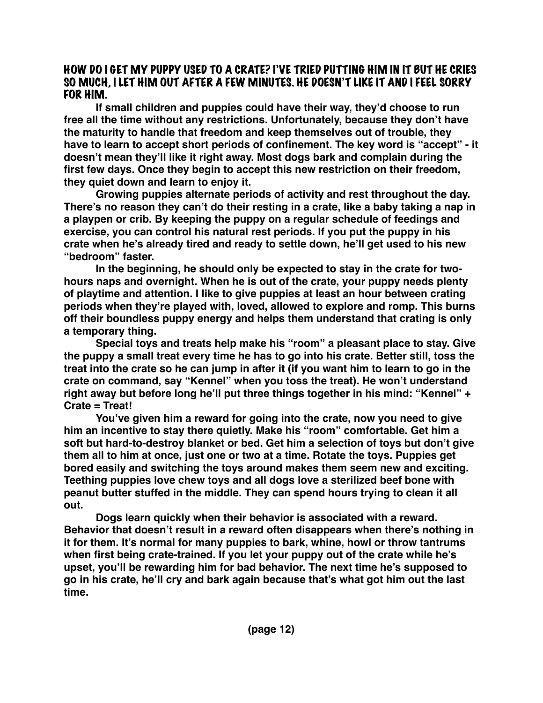#### HOW DO I GET MY PUPPY USED TO A CRATE? I'VE TRIED PUTTING HIM IN IT BUT HE CRIES SO MUCH, I LET HIM OUT AFTER A FEW MINUTES. HE DOESN'T LIKE IT AND I FEEL SORRY FOR HIM.

**If small children and puppies could have their way, they'd choose to run free all the time without any restrictions. Unfortunately, because they don't have the maturity to handle that freedom and keep themselves out of trouble, they have to learn to accept short periods of confinement. The key word is "accept" - it doesn't mean they'll like it right away. Most dogs bark and complain during the first few days. Once they begin to accept this new restriction on their freedom, they quiet down and learn to enjoy it.**

**Growing puppies alternate periods of activity and rest throughout the day. There's no reason they can't do their resting in a crate, like a baby taking a nap in a playpen or crib. By keeping the puppy on a regular schedule of feedings and exercise, you can control his natural rest periods. If you put the puppy in his crate when he's already tired and ready to settle down, he'll get used to his new "bedroom" faster.** 

**In the beginning, he should only be expected to stay in the crate for twohours naps and overnight. When he is out of the crate, your puppy needs plenty of playtime and attention. I like to give puppies at least an hour between crating periods when they're played with, loved, allowed to explore and romp. This burns off their boundless puppy energy and helps them understand that crating is only a temporary thing.**

**Special toys and treats help make his "room" a pleasant place to stay. Give the puppy a small treat every time he has to go into his crate. Better still, toss the treat into the crate so he can jump in after it (if you want him to learn to go in the crate on command, say "Kennel" when you toss the treat). He won't understand right away but before long he'll put three things together in his mind: "Kennel" + Crate = Treat!**

**You've given him a reward for going into the crate, now you need to give him an incentive to stay there quietly. Make his "room" comfortable. Get him a soft but hard-to-destroy blanket or bed. Get him a selection of toys but don't give them all to him at once, just one or two at a time. Rotate the toys. Puppies get bored easily and switching the toys around makes them seem new and exciting. Teething puppies love chew toys and all dogs love a sterilized beef bone with peanut butter stuffed in the middle. They can spend hours trying to clean it all out.**

**Dogs learn quickly when their behavior is associated with a reward. Behavior that doesn't result in a reward often disappears when there's nothing in it for them. It's normal for many puppies to bark, whine, howl or throw tantrums when first being crate-trained. If you let your puppy out of the crate while he's upset, you'll be rewarding him for bad behavior. The next time he's supposed to go in his crate, he'll cry and bark again because that's what got him out the last time.**